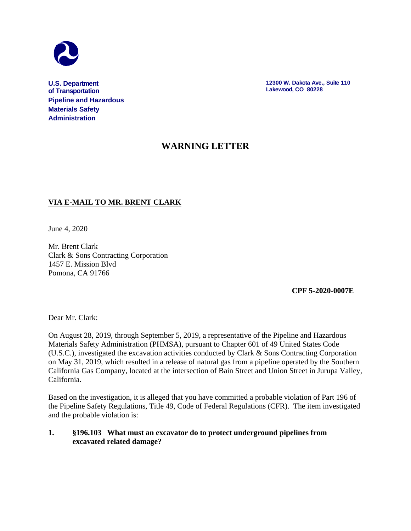

**U.S. Department of Transportation Pipeline and Hazardous Materials Safety Administration**

**12300 W. Dakota Ave., Suite 110 Lakewood, CO 80228**

# **WARNING LETTER**

## **VIA E-MAIL TO MR. BRENT CLARK**

June 4, 2020

Mr. Brent Clark Clark & Sons Contracting Corporation 1457 E. Mission Blvd Pomona, CA 91766

 **CPF 5-2020-0007E**

Dear Mr. Clark:

On August 28, 2019, through September 5, 2019, a representative of the Pipeline and Hazardous Materials Safety Administration (PHMSA), pursuant to Chapter 601 of 49 United States Code (U.S.C.), investigated the excavation activities conducted by Clark & Sons Contracting Corporation on May 31, 2019, which resulted in a release of natural gas from a pipeline operated by the Southern California Gas Company, located at the intersection of Bain Street and Union Street in Jurupa Valley, California.

Based on the investigation, it is alleged that you have committed a probable violation of Part 196 of the Pipeline Safety Regulations, Title 49, Code of Federal Regulations (CFR). The item investigated and the probable violation is:

#### **1. §196.103 What must an excavator do to protect underground pipelines from excavated related damage?**